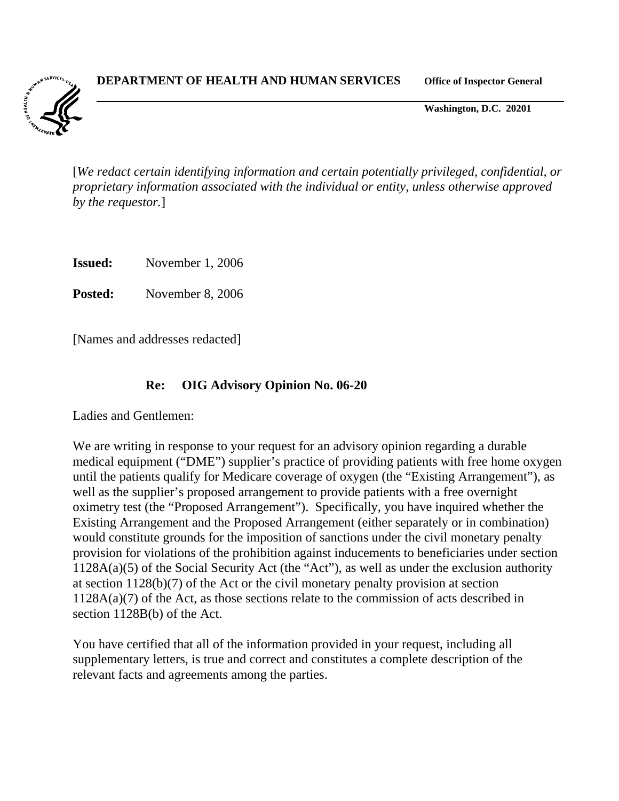**DEPARTMENT OF HEALTH AND HUMAN SERVICES Office of Inspector General**



**Washington, D.C. 20201**

[*We redact certain identifying information and certain potentially privileged, confidential, or proprietary information associated with the individual or entity, unless otherwise approved by the requestor.*]

**Issued:** November 1, 2006

**Posted:** November 8, 2006

[Names and addresses redacted]

#### **Re: OIG Advisory Opinion No. 06-20**

Ladies and Gentlemen:

We are writing in response to your request for an advisory opinion regarding a durable medical equipment ("DME") supplier's practice of providing patients with free home oxygen until the patients qualify for Medicare coverage of oxygen (the "Existing Arrangement"), as well as the supplier's proposed arrangement to provide patients with a free overnight oximetry test (the "Proposed Arrangement"). Specifically, you have inquired whether the Existing Arrangement and the Proposed Arrangement (either separately or in combination) would constitute grounds for the imposition of sanctions under the civil monetary penalty provision for violations of the prohibition against inducements to beneficiaries under section 1128A(a)(5) of the Social Security Act (the "Act"), as well as under the exclusion authority at section 1128(b)(7) of the Act or the civil monetary penalty provision at section  $1128A(a)(7)$  of the Act, as those sections relate to the commission of acts described in section 1128B(b) of the Act.

You have certified that all of the information provided in your request, including all supplementary letters, is true and correct and constitutes a complete description of the relevant facts and agreements among the parties.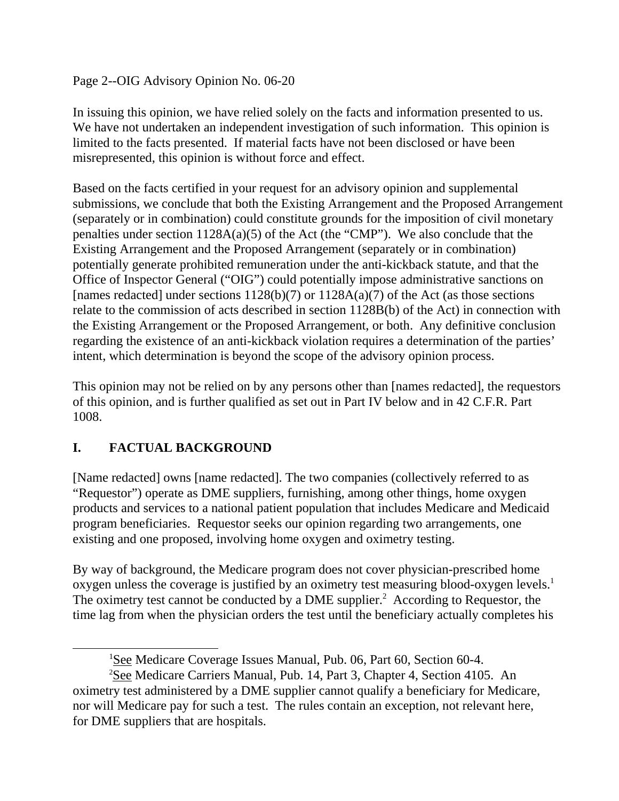Page 2--OIG Advisory Opinion No. 06-20

In issuing this opinion, we have relied solely on the facts and information presented to us. We have not undertaken an independent investigation of such information. This opinion is limited to the facts presented. If material facts have not been disclosed or have been misrepresented, this opinion is without force and effect.

Based on the facts certified in your request for an advisory opinion and supplemental submissions, we conclude that both the Existing Arrangement and the Proposed Arrangement (separately or in combination) could constitute grounds for the imposition of civil monetary penalties under section 1128A(a)(5) of the Act (the "CMP"). We also conclude that the Existing Arrangement and the Proposed Arrangement (separately or in combination) potentially generate prohibited remuneration under the anti-kickback statute, and that the Office of Inspector General ("OIG") could potentially impose administrative sanctions on [names redacted] under sections  $1128(b)(7)$  or  $1128A(a)(7)$  of the Act (as those sections relate to the commission of acts described in section 1128B(b) of the Act) in connection with the Existing Arrangement or the Proposed Arrangement, or both. Any definitive conclusion regarding the existence of an anti-kickback violation requires a determination of the parties' intent, which determination is beyond the scope of the advisory opinion process.

This opinion may not be relied on by any persons other than [names redacted], the requestors of this opinion, and is further qualified as set out in Part IV below and in 42 C.F.R. Part 1008.

# **I. FACTUAL BACKGROUND**

[Name redacted] owns [name redacted]. The two companies (collectively referred to as "Requestor") operate as DME suppliers, furnishing, among other things, home oxygen products and services to a national patient population that includes Medicare and Medicaid program beneficiaries. Requestor seeks our opinion regarding two arrangements, one existing and one proposed, involving home oxygen and oximetry testing.

By way of background, the Medicare program does not cover physician-prescribed home oxygen unless the coverage is justified by an oximetry test measuring blood-oxygen levels.1 The oximetry test cannot be conducted by a DME supplier.<sup>2</sup> According to Requestor, the time lag from when the physician orders the test until the beneficiary actually completes his

<sup>&</sup>lt;sup>1</sup>See Medicare Coverage Issues Manual, Pub. 06, Part 60, Section 60-4.

<sup>&</sup>lt;sup>2</sup>See Medicare Carriers Manual, Pub. 14, Part 3, Chapter 4, Section 4105. An oximetry test administered by a DME supplier cannot qualify a beneficiary for Medicare, nor will Medicare pay for such a test. The rules contain an exception, not relevant here, for DME suppliers that are hospitals.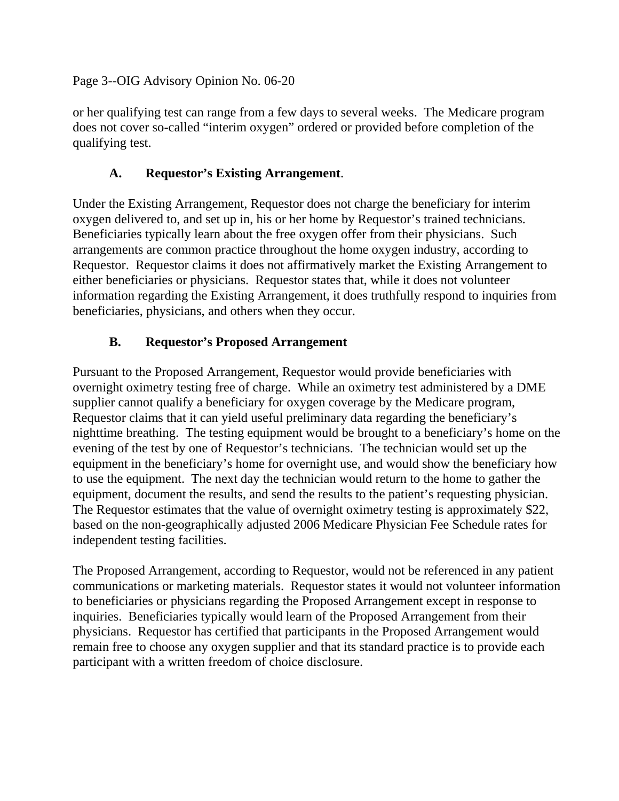Page 3--OIG Advisory Opinion No. 06-20

or her qualifying test can range from a few days to several weeks. The Medicare program does not cover so-called "interim oxygen" ordered or provided before completion of the qualifying test.

#### **A. Requestor's Existing Arrangement**.

Under the Existing Arrangement, Requestor does not charge the beneficiary for interim oxygen delivered to, and set up in, his or her home by Requestor's trained technicians. Beneficiaries typically learn about the free oxygen offer from their physicians. Such arrangements are common practice throughout the home oxygen industry, according to Requestor. Requestor claims it does not affirmatively market the Existing Arrangement to either beneficiaries or physicians. Requestor states that, while it does not volunteer information regarding the Existing Arrangement, it does truthfully respond to inquiries from beneficiaries, physicians, and others when they occur.

### **B. Requestor's Proposed Arrangement**

Pursuant to the Proposed Arrangement, Requestor would provide beneficiaries with overnight oximetry testing free of charge. While an oximetry test administered by a DME supplier cannot qualify a beneficiary for oxygen coverage by the Medicare program, Requestor claims that it can yield useful preliminary data regarding the beneficiary's nighttime breathing. The testing equipment would be brought to a beneficiary's home on the evening of the test by one of Requestor's technicians. The technician would set up the equipment in the beneficiary's home for overnight use, and would show the beneficiary how to use the equipment. The next day the technician would return to the home to gather the equipment, document the results, and send the results to the patient's requesting physician. The Requestor estimates that the value of overnight oximetry testing is approximately \$22, based on the non-geographically adjusted 2006 Medicare Physician Fee Schedule rates for independent testing facilities.

The Proposed Arrangement, according to Requestor, would not be referenced in any patient communications or marketing materials. Requestor states it would not volunteer information to beneficiaries or physicians regarding the Proposed Arrangement except in response to inquiries. Beneficiaries typically would learn of the Proposed Arrangement from their physicians. Requestor has certified that participants in the Proposed Arrangement would remain free to choose any oxygen supplier and that its standard practice is to provide each participant with a written freedom of choice disclosure.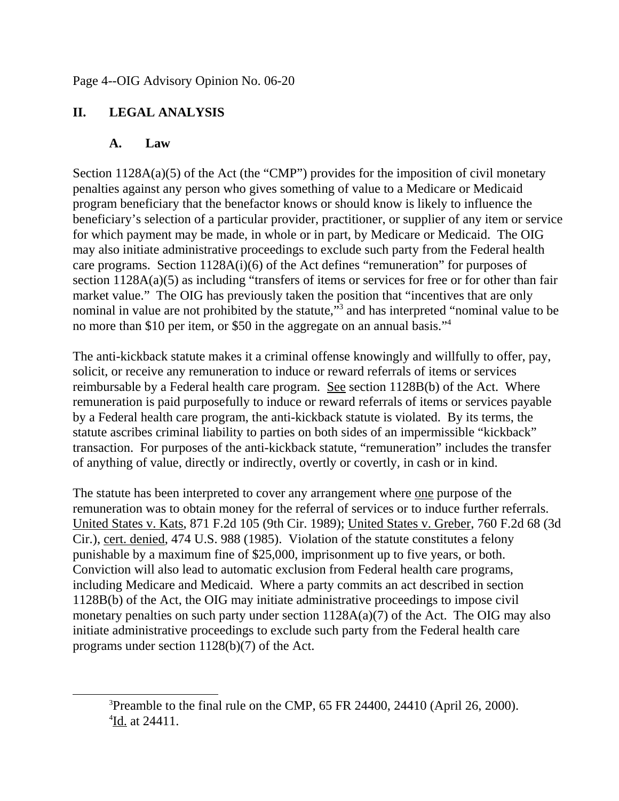# **II. LEGAL ANALYSIS**

### **A. Law**

Section  $1128A(a)(5)$  of the Act (the "CMP") provides for the imposition of civil monetary penalties against any person who gives something of value to a Medicare or Medicaid program beneficiary that the benefactor knows or should know is likely to influence the beneficiary's selection of a particular provider, practitioner, or supplier of any item or service for which payment may be made, in whole or in part, by Medicare or Medicaid. The OIG may also initiate administrative proceedings to exclude such party from the Federal health care programs. Section 1128A(i)(6) of the Act defines "remuneration" for purposes of section 1128A(a)(5) as including "transfers of items or services for free or for other than fair market value." The OIG has previously taken the position that "incentives that are only nominal in value are not prohibited by the statute,"<sup>3</sup> and has interpreted "nominal value to be no more than \$10 per item, or \$50 in the aggregate on an annual basis."4

The anti-kickback statute makes it a criminal offense knowingly and willfully to offer, pay, solicit, or receive any remuneration to induce or reward referrals of items or services reimbursable by a Federal health care program. See section 1128B(b) of the Act. Where remuneration is paid purposefully to induce or reward referrals of items or services payable by a Federal health care program, the anti-kickback statute is violated. By its terms, the statute ascribes criminal liability to parties on both sides of an impermissible "kickback" transaction. For purposes of the anti-kickback statute, "remuneration" includes the transfer of anything of value, directly or indirectly, overtly or covertly, in cash or in kind.

The statute has been interpreted to cover any arrangement where <u>one</u> purpose of the remuneration was to obtain money for the referral of services or to induce further referrals. United States v. Kats, 871 F.2d 105 (9th Cir. 1989); United States v. Greber, 760 F.2d 68 (3d Cir.), cert. denied, 474 U.S. 988 (1985). Violation of the statute constitutes a felony punishable by a maximum fine of \$25,000, imprisonment up to five years, or both. Conviction will also lead to automatic exclusion from Federal health care programs, including Medicare and Medicaid. Where a party commits an act described in section 1128B(b) of the Act, the OIG may initiate administrative proceedings to impose civil monetary penalties on such party under section  $1128A(a)(7)$  of the Act. The OIG may also initiate administrative proceedings to exclude such party from the Federal health care programs under section 1128(b)(7) of the Act.

<sup>&</sup>lt;sup>3</sup>Preamble to the final rule on the CMP, 65 FR 24400, 24410 (April 26, 2000). <sup>4</sup>Id. at 24411.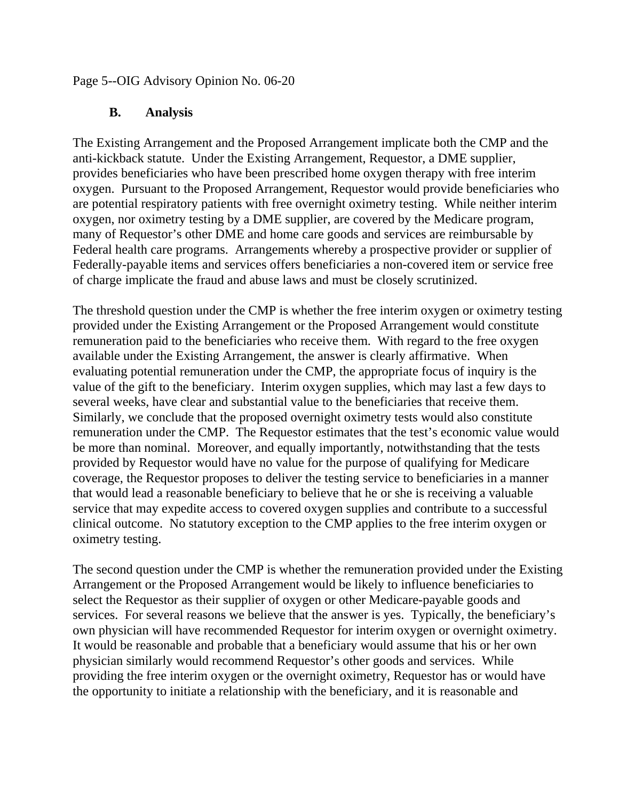Page 5--OIG Advisory Opinion No. 06-20

#### **B. Analysis**

The Existing Arrangement and the Proposed Arrangement implicate both the CMP and the anti-kickback statute. Under the Existing Arrangement, Requestor, a DME supplier, provides beneficiaries who have been prescribed home oxygen therapy with free interim oxygen. Pursuant to the Proposed Arrangement, Requestor would provide beneficiaries who are potential respiratory patients with free overnight oximetry testing. While neither interim oxygen, nor oximetry testing by a DME supplier, are covered by the Medicare program, many of Requestor's other DME and home care goods and services are reimbursable by Federal health care programs. Arrangements whereby a prospective provider or supplier of Federally-payable items and services offers beneficiaries a non-covered item or service free of charge implicate the fraud and abuse laws and must be closely scrutinized.

The threshold question under the CMP is whether the free interim oxygen or oximetry testing provided under the Existing Arrangement or the Proposed Arrangement would constitute remuneration paid to the beneficiaries who receive them. With regard to the free oxygen available under the Existing Arrangement, the answer is clearly affirmative. When evaluating potential remuneration under the CMP, the appropriate focus of inquiry is the value of the gift to the beneficiary. Interim oxygen supplies, which may last a few days to several weeks, have clear and substantial value to the beneficiaries that receive them. Similarly, we conclude that the proposed overnight oximetry tests would also constitute remuneration under the CMP. The Requestor estimates that the test's economic value would be more than nominal. Moreover, and equally importantly, notwithstanding that the tests provided by Requestor would have no value for the purpose of qualifying for Medicare coverage, the Requestor proposes to deliver the testing service to beneficiaries in a manner that would lead a reasonable beneficiary to believe that he or she is receiving a valuable service that may expedite access to covered oxygen supplies and contribute to a successful clinical outcome. No statutory exception to the CMP applies to the free interim oxygen or oximetry testing.

The second question under the CMP is whether the remuneration provided under the Existing Arrangement or the Proposed Arrangement would be likely to influence beneficiaries to select the Requestor as their supplier of oxygen or other Medicare-payable goods and services. For several reasons we believe that the answer is yes. Typically, the beneficiary's own physician will have recommended Requestor for interim oxygen or overnight oximetry. It would be reasonable and probable that a beneficiary would assume that his or her own physician similarly would recommend Requestor's other goods and services. While providing the free interim oxygen or the overnight oximetry, Requestor has or would have the opportunity to initiate a relationship with the beneficiary, and it is reasonable and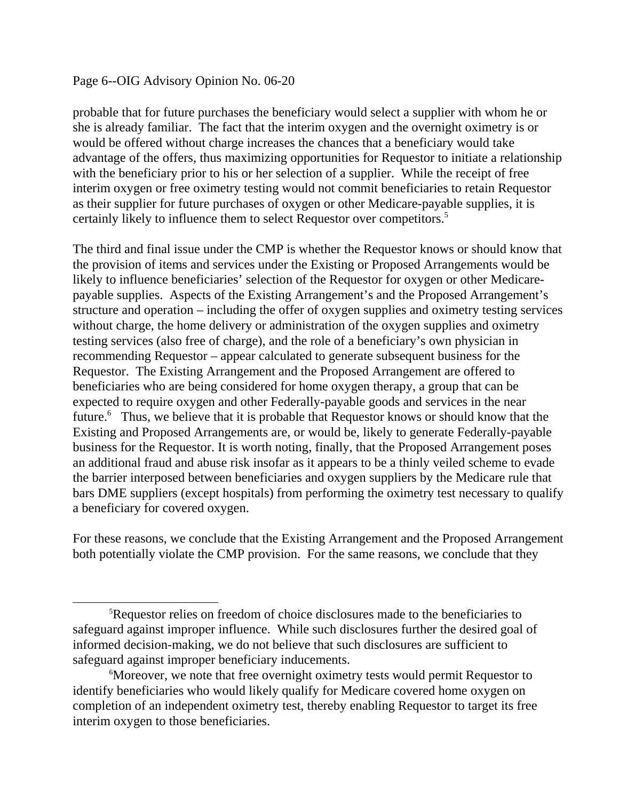#### Page 6--OIG Advisory Opinion No. 06-20

probable that for future purchases the beneficiary would select a supplier with whom he or she is already familiar. The fact that the interim oxygen and the overnight oximetry is or would be offered without charge increases the chances that a beneficiary would take advantage of the offers, thus maximizing opportunities for Requestor to initiate a relationship with the beneficiary prior to his or her selection of a supplier. While the receipt of free interim oxygen or free oximetry testing would not commit beneficiaries to retain Requestor as their supplier for future purchases of oxygen or other Medicare-payable supplies, it is certainly likely to influence them to select Requestor over competitors.<sup>5</sup>

The third and final issue under the CMP is whether the Requestor knows or should know that the provision of items and services under the Existing or Proposed Arrangements would be likely to influence beneficiaries' selection of the Requestor for oxygen or other Medicarepayable supplies. Aspects of the Existing Arrangement's and the Proposed Arrangement's structure and operation – including the offer of oxygen supplies and oximetry testing services without charge, the home delivery or administration of the oxygen supplies and oximetry testing services (also free of charge), and the role of a beneficiary's own physician in recommending Requestor – appear calculated to generate subsequent business for the Requestor. The Existing Arrangement and the Proposed Arrangement are offered to beneficiaries who are being considered for home oxygen therapy, a group that can be expected to require oxygen and other Federally-payable goods and services in the near future.<sup>6</sup> Thus, we believe that it is probable that Requestor knows or should know that the Existing and Proposed Arrangements are, or would be, likely to generate Federally-payable business for the Requestor. It is worth noting, finally, that the Proposed Arrangement poses an additional fraud and abuse risk insofar as it appears to be a thinly veiled scheme to evade the barrier interposed between beneficiaries and oxygen suppliers by the Medicare rule that bars DME suppliers (except hospitals) from performing the oximetry test necessary to qualify a beneficiary for covered oxygen.

For these reasons, we conclude that the Existing Arrangement and the Proposed Arrangement both potentially violate the CMP provision. For the same reasons, we conclude that they

<sup>&</sup>lt;sup>5</sup>Requestor relies on freedom of choice disclosures made to the beneficiaries to safeguard against improper influence. While such disclosures further the desired goal of informed decision-making, we do not believe that such disclosures are sufficient to safeguard against improper beneficiary inducements.

<sup>6</sup> Moreover, we note that free overnight oximetry tests would permit Requestor to identify beneficiaries who would likely qualify for Medicare covered home oxygen on completion of an independent oximetry test, thereby enabling Requestor to target its free interim oxygen to those beneficiaries.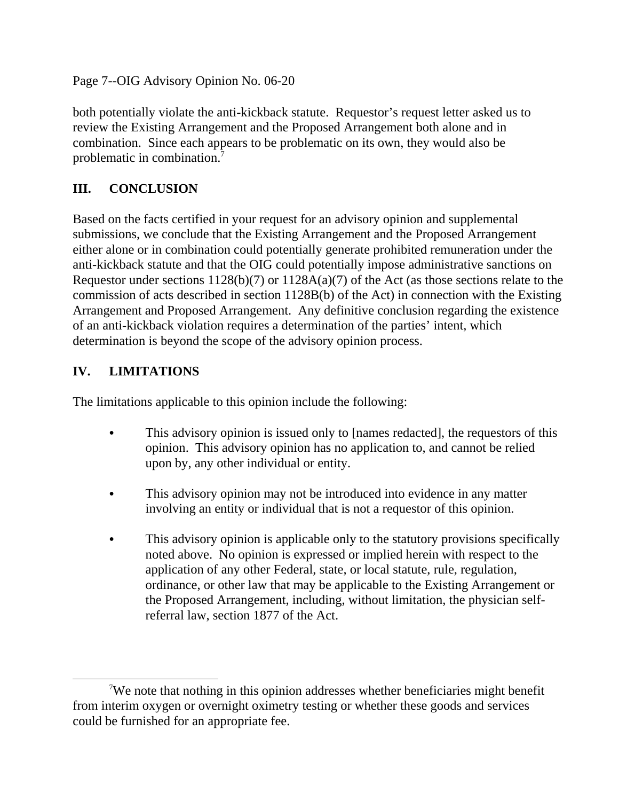Page 7--OIG Advisory Opinion No. 06-20

both potentially violate the anti-kickback statute. Requestor's request letter asked us to review the Existing Arrangement and the Proposed Arrangement both alone and in combination. Since each appears to be problematic on its own, they would also be problematic in combination. $\bar{7}$ 

# **III. CONCLUSION**

Based on the facts certified in your request for an advisory opinion and supplemental submissions, we conclude that the Existing Arrangement and the Proposed Arrangement either alone or in combination could potentially generate prohibited remuneration under the anti-kickback statute and that the OIG could potentially impose administrative sanctions on Requestor under sections 1128(b)(7) or 1128A(a)(7) of the Act (as those sections relate to the commission of acts described in section 1128B(b) of the Act) in connection with the Existing Arrangement and Proposed Arrangement. Any definitive conclusion regarding the existence of an anti-kickback violation requires a determination of the parties' intent, which determination is beyond the scope of the advisory opinion process.

### **IV. LIMITATIONS**

The limitations applicable to this opinion include the following:

- This advisory opinion is issued only to [names redacted], the requestors of this opinion. This advisory opinion has no application to, and cannot be relied upon by, any other individual or entity.
- This advisory opinion may not be introduced into evidence in any matter involving an entity or individual that is not a requestor of this opinion.
- This advisory opinion is applicable only to the statutory provisions specifically noted above. No opinion is expressed or implied herein with respect to the application of any other Federal, state, or local statute, rule, regulation, ordinance, or other law that may be applicable to the Existing Arrangement or the Proposed Arrangement, including, without limitation, the physician selfreferral law, section 1877 of the Act.

<sup>7</sup> We note that nothing in this opinion addresses whether beneficiaries might benefit from interim oxygen or overnight oximetry testing or whether these goods and services could be furnished for an appropriate fee.